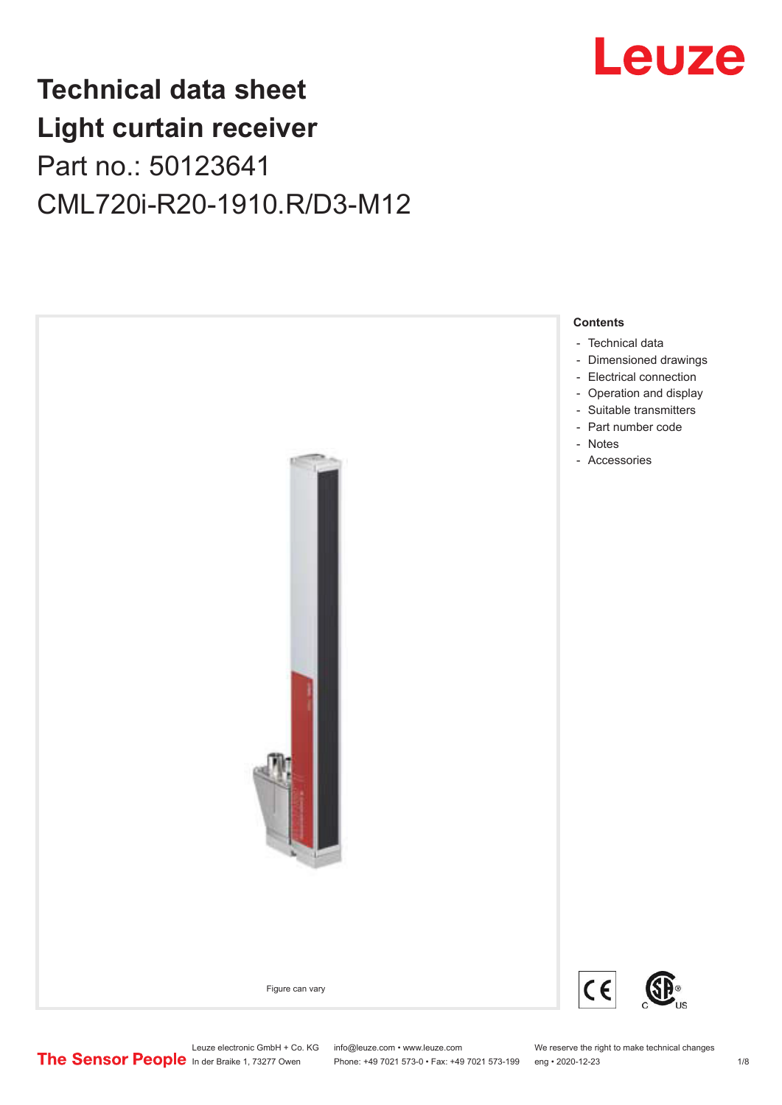

## **Technical data sheet Light curtain receiver** Part no.: 50123641 CML720i-R20-1910.R/D3-M12



Phone: +49 7021 573-0 • Fax: +49 7021 573-199 eng • 2020-12-23 1 /8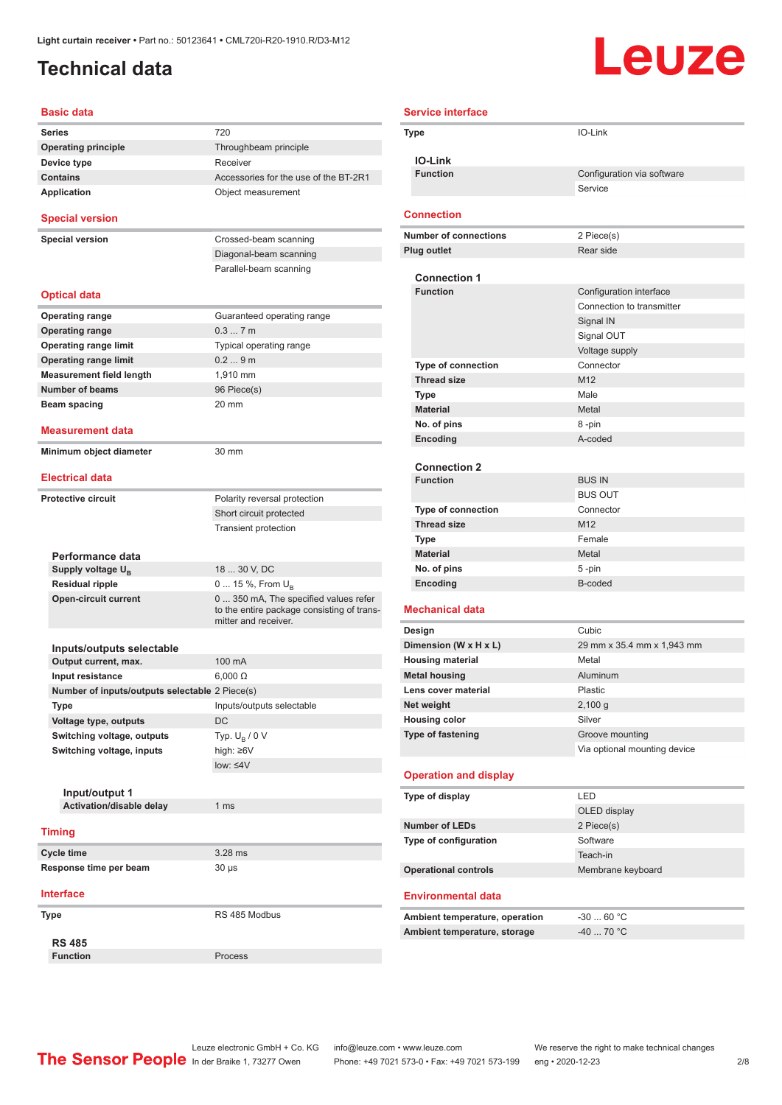### <span id="page-1-0"></span>**Technical data**

# Leuze

| <b>Basic data</b>                              |                                                                    |
|------------------------------------------------|--------------------------------------------------------------------|
| <b>Series</b>                                  | 720                                                                |
| <b>Operating principle</b>                     | Throughbeam principle                                              |
| Device type                                    | Receiver                                                           |
| <b>Contains</b>                                | Accessories for the use of the BT-2R1                              |
| <b>Application</b>                             | Object measurement                                                 |
| <b>Special version</b>                         |                                                                    |
| <b>Special version</b>                         | Crossed-beam scanning                                              |
|                                                | Diagonal-beam scanning                                             |
|                                                | Parallel-beam scanning                                             |
| <b>Optical data</b>                            |                                                                    |
| <b>Operating range</b>                         | Guaranteed operating range                                         |
| <b>Operating range</b>                         | 0.37m                                                              |
| <b>Operating range limit</b>                   | Typical operating range                                            |
| <b>Operating range limit</b>                   | 0.29m                                                              |
| <b>Measurement field length</b>                | 1.910 mm                                                           |
| <b>Number of beams</b>                         | 96 Piece(s)                                                        |
| Beam spacing                                   | 20 mm                                                              |
|                                                |                                                                    |
| Measurement data                               |                                                                    |
| Minimum object diameter                        | 30 mm                                                              |
| <b>Electrical data</b>                         |                                                                    |
| <b>Protective circuit</b>                      | Polarity reversal protection                                       |
|                                                | Short circuit protected                                            |
|                                                | <b>Transient protection</b>                                        |
| Performance data                               |                                                                    |
| Supply voltage U <sub>B</sub>                  | 18  30 V, DC                                                       |
| <b>Residual ripple</b>                         | 0  15 %, From $U_B$                                                |
| <b>Open-circuit current</b>                    | 0  350 mA, The specified values refer                              |
|                                                | to the entire package consisting of trans-<br>mitter and receiver. |
| Inputs/outputs selectable                      |                                                                    |
| Output current, max.                           | 100 mA                                                             |
| Input resistance                               | $6,000 \Omega$                                                     |
| Number of inputs/outputs selectable 2 Piece(s) |                                                                    |
| Type                                           | Inputs/outputs selectable                                          |
| Voltage type, outputs                          | DC                                                                 |
|                                                |                                                                    |
| Switching voltage, outputs                     | Typ. $U_{\rm B}$ / 0 V                                             |
| Switching voltage, inputs                      | high: ≥6V<br>low: < 4V                                             |
|                                                |                                                                    |
| Input/output 1                                 |                                                                    |
| Activation/disable delay                       | 1 <sub>ms</sub>                                                    |
| <b>Timing</b>                                  |                                                                    |
| <b>Cycle time</b>                              | 3.28 ms                                                            |
| Response time per beam                         | 30 µs                                                              |
|                                                |                                                                    |
| <b>Interface</b>                               |                                                                    |
| Type                                           | RS 485 Modbus                                                      |
| <b>RS 485</b>                                  |                                                                    |
| <b>Function</b>                                | Process                                                            |

|  | <b>Service interface</b>                    |                                       |
|--|---------------------------------------------|---------------------------------------|
|  | Type                                        | IO-Link                               |
|  |                                             |                                       |
|  | <b>IO-Link</b>                              |                                       |
|  | <b>Function</b>                             | Configuration via software<br>Service |
|  |                                             |                                       |
|  | <b>Connection</b>                           |                                       |
|  | <b>Number of connections</b>                | 2 Piece(s)                            |
|  | <b>Plug outlet</b>                          | Rear side                             |
|  |                                             |                                       |
|  | <b>Connection 1</b>                         |                                       |
|  | <b>Function</b>                             | Configuration interface               |
|  |                                             | Connection to transmitter             |
|  |                                             | Signal IN                             |
|  |                                             | Signal OUT                            |
|  | <b>Type of connection</b>                   | Voltage supply<br>Connector           |
|  | <b>Thread size</b>                          | M <sub>12</sub>                       |
|  | <b>Type</b>                                 | Male                                  |
|  | <b>Material</b>                             | Metal                                 |
|  | No. of pins                                 | 8-pin                                 |
|  | Encoding                                    | A-coded                               |
|  |                                             |                                       |
|  | <b>Connection 2</b>                         |                                       |
|  | <b>Function</b>                             | <b>BUS IN</b><br><b>BUS OUT</b>       |
|  | <b>Type of connection</b>                   | Connector                             |
|  | <b>Thread size</b>                          | M <sub>12</sub>                       |
|  | Type                                        | Female                                |
|  | <b>Material</b>                             | Metal                                 |
|  | No. of pins                                 | $5 - pin$                             |
|  | Encoding                                    | B-coded                               |
|  |                                             |                                       |
|  | <b>Mechanical data</b>                      |                                       |
|  | Design                                      | Cubic                                 |
|  | Dimension (W x H x L)                       | 29 mm x 35.4 mm x 1,943 mm            |
|  | <b>Housing material</b>                     | Metal<br>Aluminum                     |
|  | <b>Metal housing</b><br>Lens cover material | Plastic                               |
|  | Net weight                                  | 2,100 g                               |
|  | <b>Housing color</b>                        | Silver                                |
|  | <b>Type of fastening</b>                    | Groove mounting                       |
|  |                                             | Via optional mounting device          |
|  | <b>Operation and display</b>                |                                       |
|  | Type of display                             | LED                                   |
|  |                                             | OLED display                          |
|  | <b>Number of LEDs</b>                       | 2 Piece(s)                            |
|  | Type of configuration                       | Software                              |
|  |                                             | Teach-in                              |
|  | <b>Operational controls</b>                 | Membrane keyboard                     |
|  | <b>Environmental data</b>                   |                                       |
|  |                                             |                                       |
|  | Ambient temperature, operation              | $-3060 °C$                            |
|  | Ambient temperature, storage                | -40  70 °C                            |
|  |                                             |                                       |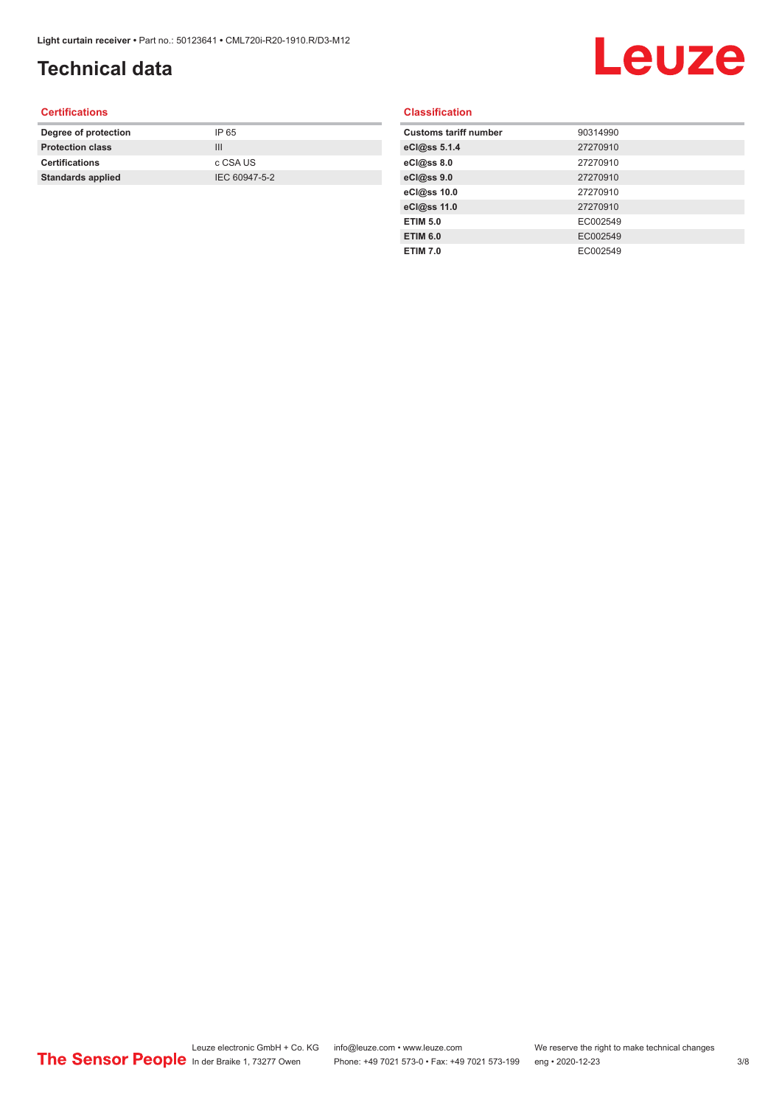### **Technical data**

## Leuze

#### **Certifications**

| Degree of protection     | IP 65         |
|--------------------------|---------------|
| <b>Protection class</b>  | Ш             |
| <b>Certifications</b>    | c CSA US      |
| <b>Standards applied</b> | IEC 60947-5-2 |
|                          |               |

#### **Classification**

| <b>Customs tariff number</b> | 90314990 |
|------------------------------|----------|
| eCl@ss 5.1.4                 | 27270910 |
| eCl@ss 8.0                   | 27270910 |
| eCl@ss 9.0                   | 27270910 |
| eCl@ss 10.0                  | 27270910 |
| eCl@ss 11.0                  | 27270910 |
| <b>ETIM 5.0</b>              | EC002549 |
| <b>ETIM 6.0</b>              | EC002549 |
| <b>ETIM 7.0</b>              | EC002549 |
|                              |          |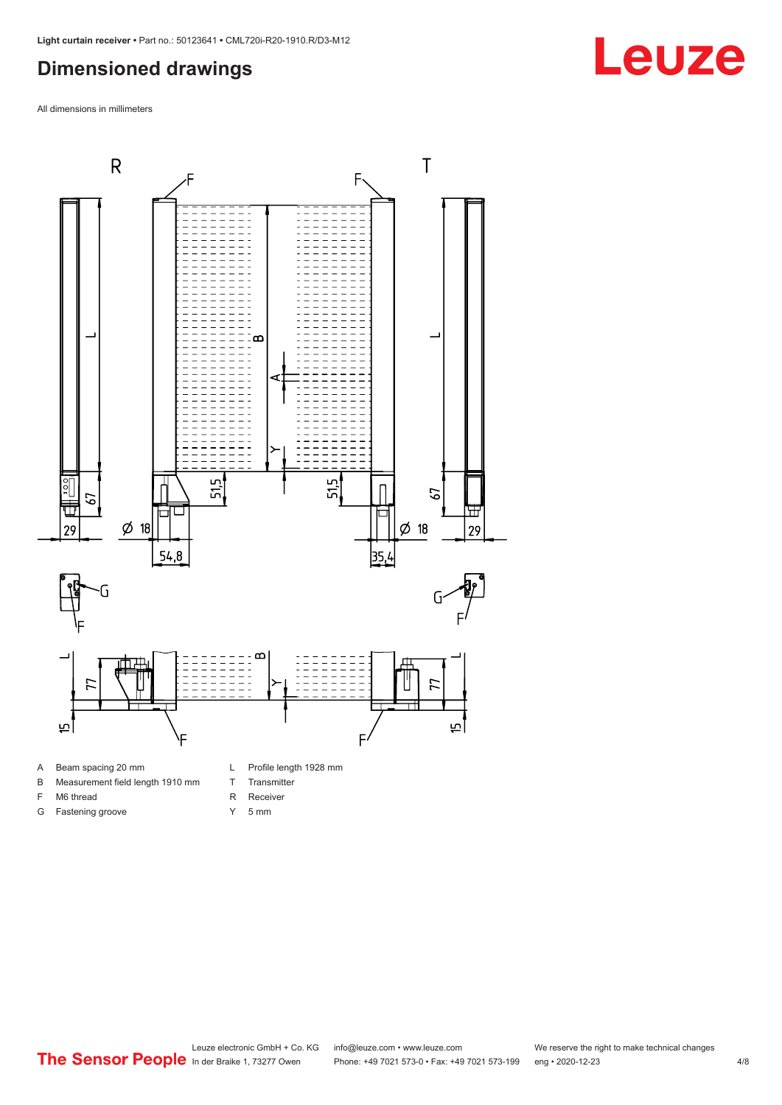#### <span id="page-3-0"></span>**Dimensioned drawings**

All dimensions in millimeters



- 
- B Measurement field length 1910 mm
- F M6 thread

G Fastening groove

- R Receiver
	- Y 5 mm

T Transmitter

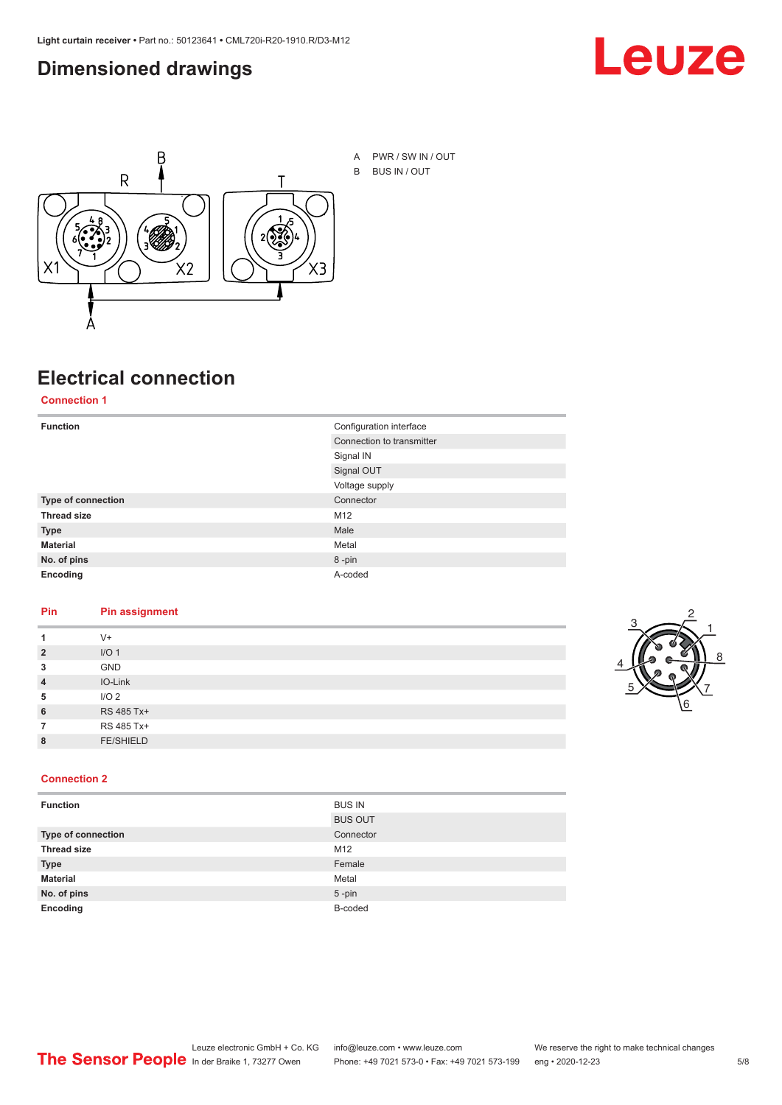#### <span id="page-4-0"></span>**Dimensioned drawings**





A PWR / SW IN / OUT B BUS IN / OUT

## **Electrical connection**

**Connection 1**

| <b>Function</b>    | Configuration interface   |
|--------------------|---------------------------|
|                    | Connection to transmitter |
|                    | Signal IN                 |
|                    | Signal OUT                |
|                    | Voltage supply            |
| Type of connection | Connector                 |
| <b>Thread size</b> | M <sub>12</sub>           |
| <b>Type</b>        | Male                      |
| <b>Material</b>    | Metal                     |
| No. of pins        | 8-pin                     |
| Encoding           | A-coded                   |

#### **Pin Pin assignment**

|                | $V +$            |  |  |
|----------------|------------------|--|--|
| $\overline{2}$ | I/O <sub>1</sub> |  |  |
| 3              | <b>GND</b>       |  |  |
| $\overline{4}$ | IO-Link          |  |  |
| 5              | I/O <sub>2</sub> |  |  |
| 6              | RS 485 Tx+       |  |  |
|                | RS 485 Tx+       |  |  |
| 8              | <b>FE/SHIELD</b> |  |  |
|                |                  |  |  |



#### **Connection 2**

| <b>Function</b>    | <b>BUS IN</b>  |
|--------------------|----------------|
|                    | <b>BUS OUT</b> |
| Type of connection | Connector      |
| <b>Thread size</b> | M12            |
| <b>Type</b>        | Female         |
| <b>Material</b>    | Metal          |
| No. of pins        | $5$ -pin       |
| Encoding           | B-coded        |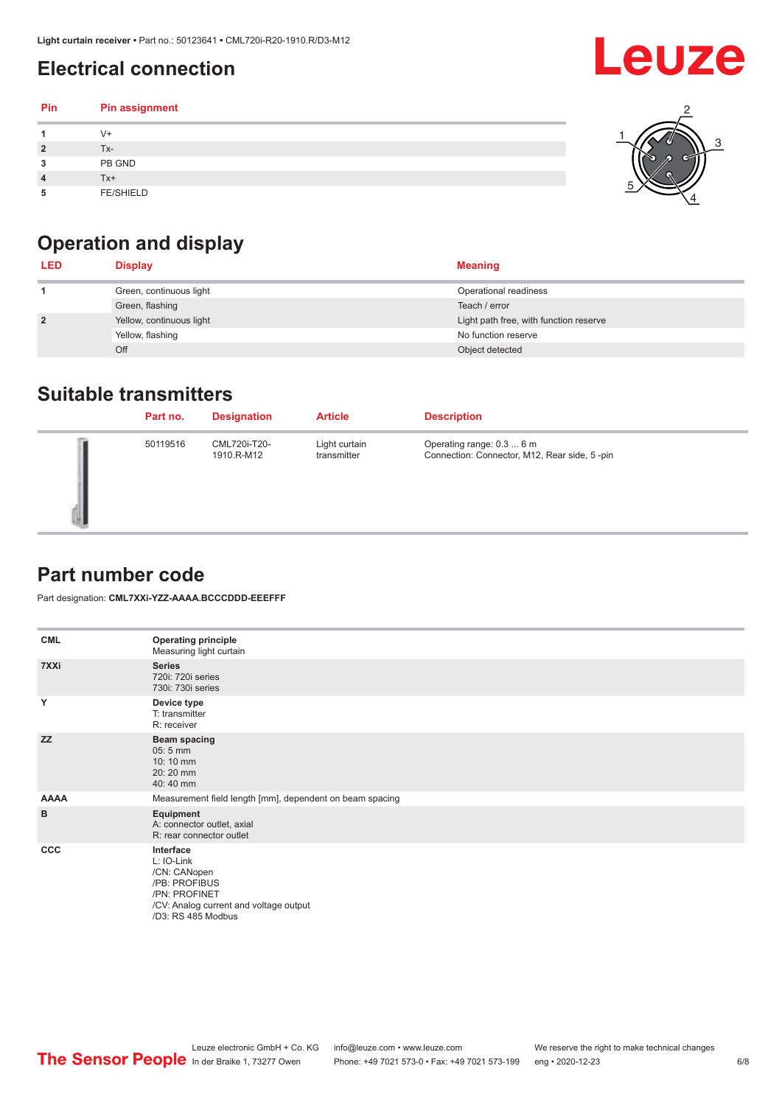### <span id="page-5-0"></span>**Electrical connection**

| Pin | Pin assignment   |  |
|-----|------------------|--|
|     | $V +$            |  |
| ຳ   | Tx-              |  |
| 3   | PB GND           |  |
|     | $Tx+$            |  |
| 5   | <b>FE/SHIELD</b> |  |

### **Operation and display**

| <b>LED</b>     | <b>Display</b>           | <b>Meaning</b>                         |
|----------------|--------------------------|----------------------------------------|
|                | Green, continuous light  | Operational readiness                  |
|                | Green, flashing          | Teach / error                          |
| $\overline{2}$ | Yellow, continuous light | Light path free, with function reserve |
|                | Yellow, flashing         | No function reserve                    |
|                | Off                      | Object detected                        |

#### **Suitable transmitters**

| Part no. | <b>Designation</b>         | <b>Article</b>               | <b>Description</b>                                                        |
|----------|----------------------------|------------------------------|---------------------------------------------------------------------------|
| 50119516 | CML720i-T20-<br>1910.R-M12 | Light curtain<br>transmitter | Operating range: 0.3  6 m<br>Connection: Connector, M12, Rear side, 5-pin |

#### **Part number code**

Part designation: **CML7XXi-YZZ-AAAA.BCCCDDD-EEEFFF**

| <b>CML</b>  | <b>Operating principle</b><br>Measuring light curtain                                                                                     |
|-------------|-------------------------------------------------------------------------------------------------------------------------------------------|
| 7XXi        | <b>Series</b><br>720i: 720i series<br>730i: 730i series                                                                                   |
| Y           | Device type<br>T: transmitter<br>R: receiver                                                                                              |
| <b>ZZ</b>   | <b>Beam spacing</b><br>$05:5$ mm<br>10:10 mm<br>20:20 mm<br>40:40 mm                                                                      |
| <b>AAAA</b> | Measurement field length [mm], dependent on beam spacing                                                                                  |
| B           | Equipment<br>A: connector outlet, axial<br>R: rear connector outlet                                                                       |
| CCC         | Interface<br>L: IO-Link<br>/CN: CANopen<br>/PB: PROFIBUS<br>/PN: PROFINET<br>/CV: Analog current and voltage output<br>/D3: RS 485 Modbus |

**Leuze**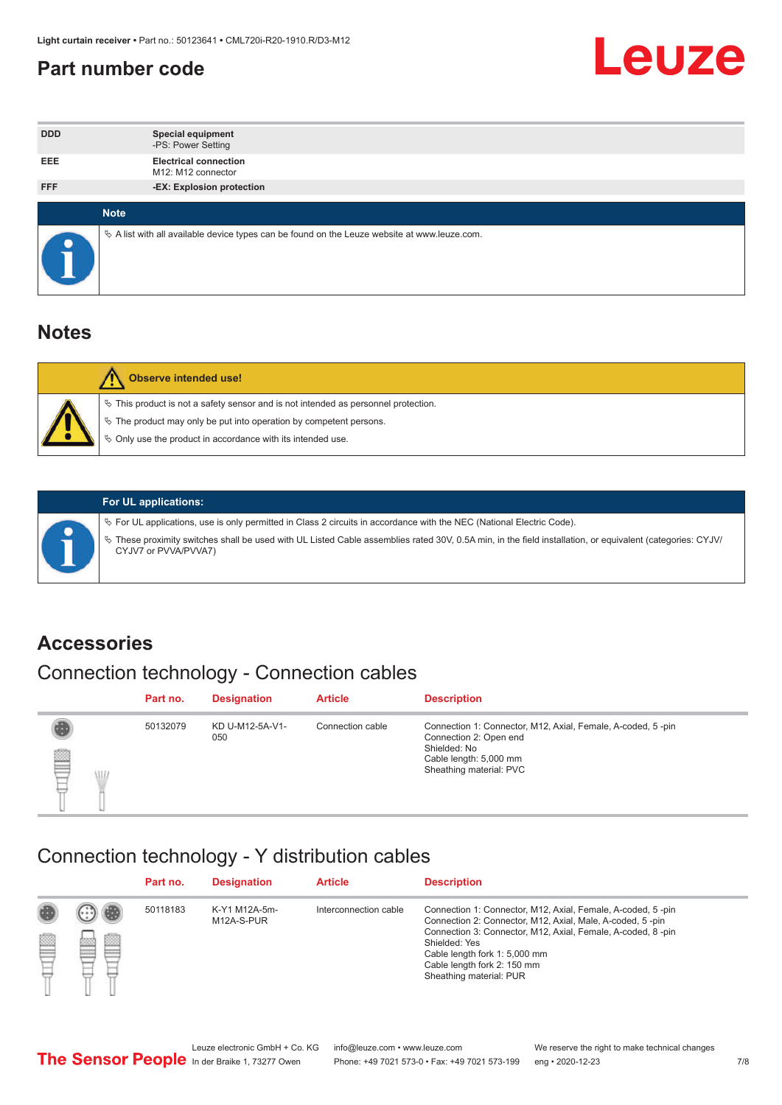#### <span id="page-6-0"></span>**Part number code**



| <b>DDD</b> | <b>Special equipment</b><br>-PS: Power Setting                                                  |
|------------|-------------------------------------------------------------------------------------------------|
| <b>EEE</b> | <b>Electrical connection</b><br>M12: M12 connector                                              |
| <b>FFF</b> | -EX: Explosion protection                                                                       |
|            |                                                                                                 |
|            | <b>Note</b>                                                                                     |
|            | $\&$ A list with all available device types can be found on the Leuze website at www.leuze.com. |

#### **Notes**

| Observe intended use!                                                                                                                                                                                                            |
|----------------------------------------------------------------------------------------------------------------------------------------------------------------------------------------------------------------------------------|
| $\%$ This product is not a safety sensor and is not intended as personnel protection.<br>$\%$ The product may only be put into operation by competent persons.<br>$\%$ Only use the product in accordance with its intended use. |
|                                                                                                                                                                                                                                  |



#### **For UL applications:**

ª For UL applications, use is only permitted in Class 2 circuits in accordance with the NEC (National Electric Code). ª These proximity switches shall be used with UL Listed Cable assemblies rated 30V, 0.5A min, in the field installation, or equivalent (categories: CYJV/ CYJV7 or PVVA/PVVA7)

#### **Accessories**

### Connection technology - Connection cables

|        | Part no. | <b>Designation</b>     | <b>Article</b>   | <b>Description</b>                                                                                                                                         |
|--------|----------|------------------------|------------------|------------------------------------------------------------------------------------------------------------------------------------------------------------|
| 2<br>W | 50132079 | KD U-M12-5A-V1-<br>050 | Connection cable | Connection 1: Connector, M12, Axial, Female, A-coded, 5-pin<br>Connection 2: Open end<br>Shielded: No<br>Cable length: 5,000 mm<br>Sheathing material: PVC |

#### Connection technology - Y distribution cables

|        |   | Part no. | <b>Designation</b>          | <b>Article</b>        | <b>Description</b>                                                                                                                                                                                                                                                                                  |
|--------|---|----------|-----------------------------|-----------------------|-----------------------------------------------------------------------------------------------------------------------------------------------------------------------------------------------------------------------------------------------------------------------------------------------------|
| 圔<br>⋿ | Ø | 50118183 | K-Y1 M12A-5m-<br>M12A-S-PUR | Interconnection cable | Connection 1: Connector, M12, Axial, Female, A-coded, 5-pin<br>Connection 2: Connector, M12, Axial, Male, A-coded, 5-pin<br>Connection 3: Connector, M12, Axial, Female, A-coded, 8-pin<br>Shielded: Yes<br>Cable length fork 1: 5,000 mm<br>Cable length fork 2: 150 mm<br>Sheathing material: PUR |